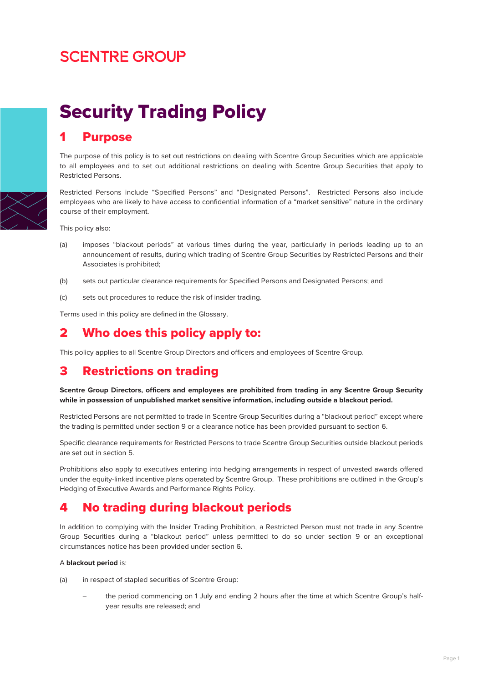# **SCENTRE GROUP**



Security Trading Policy

# 1 Purpose

The purpose of this policy is to set out restrictions on dealing with Scentre Group Securities which are applicable to all employees and to set out additional restrictions on dealing with Scentre Group Securities that apply to Restricted Persons.

Restricted Persons include "Specified Persons" and "Designated Persons". Restricted Persons also include employees who are likely to have access to confidential information of a "market sensitive" nature in the ordinary course of their employment.

This policy also:

- (a) imposes "blackout periods" at various times during the year, particularly in periods leading up to an announcement of results, during which trading of Scentre Group Securities by Restricted Persons and their Associates is prohibited;
- (b) sets out particular clearance requirements for Specified Persons and Designated Persons; and
- (c) sets out procedures to reduce the risk of insider trading.

Terms used in this policy are defined in the Glossary.

# 2 Who does this policy apply to:

This policy applies to all Scentre Group Directors and officers and employees of Scentre Group.

# 3 Restrictions on trading

**Scentre Group Directors, officers and employees are prohibited from trading in any Scentre Group Security while in possession of unpublished market sensitive information, including outside a blackout period.** 

Restricted Persons are not permitted to trade in Scentre Group Securities during a "blackout period" except where the trading is permitted under section 9 or a clearance notice has been provided pursuant to section 6.

Specific clearance requirements for Restricted Persons to trade Scentre Group Securities outside blackout periods are set out in section 5.

Prohibitions also apply to executives entering into hedging arrangements in respect of unvested awards offered under the equity-linked incentive plans operated by Scentre Group. These prohibitions are outlined in the Group's Hedging of Executive Awards and Performance Rights Policy.

# 4 No trading during blackout periods

In addition to complying with the Insider Trading Prohibition, a Restricted Person must not trade in any Scentre Group Securities during a "blackout period" unless permitted to do so under section 9 or an exceptional circumstances notice has been provided under section 6.

#### A **blackout period** is:

- (a) in respect of stapled securities of Scentre Group:
	- − the period commencing on 1 July and ending 2 hours after the time at which Scentre Group's halfyear results are released; and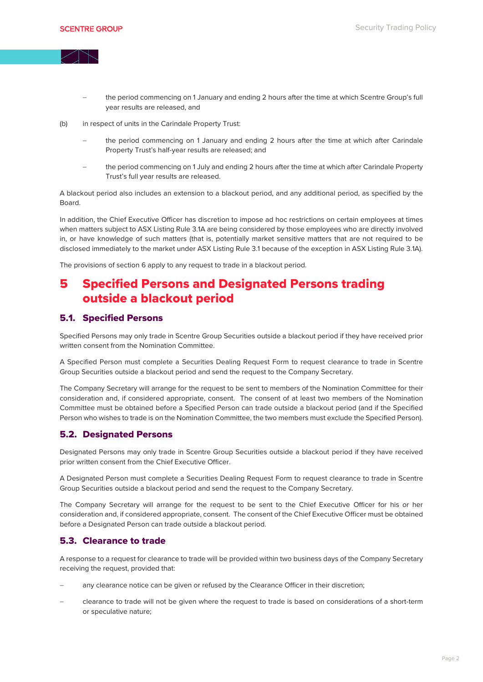

- the period commencing on 1 January and ending 2 hours after the time at which Scentre Group's full year results are released, and
- (b) in respect of units in the Carindale Property Trust:
	- the period commencing on 1 January and ending 2 hours after the time at which after Carindale Property Trust's half-year results are released; and
	- the period commencing on 1 July and ending 2 hours after the time at which after Carindale Property Trust's full year results are released.

A blackout period also includes an extension to a blackout period, and any additional period, as specified by the Board.

In addition, the Chief Executive Officer has discretion to impose ad hoc restrictions on certain employees at times when matters subject to ASX Listing Rule 3.1A are being considered by those employees who are directly involved in, or have knowledge of such matters (that is, potentially market sensitive matters that are not required to be disclosed immediately to the market under ASX Listing Rule 3.1 because of the exception in ASX Listing Rule 3.1A).

The provisions of section 6 apply to any request to trade in a blackout period.

# 5 Specified Persons and Designated Persons trading outside a blackout period

#### 5.1. Specified Persons

Specified Persons may only trade in Scentre Group Securities outside a blackout period if they have received prior written consent from the Nomination Committee.

A Specified Person must complete a Securities Dealing Request Form to request clearance to trade in Scentre Group Securities outside a blackout period and send the request to the Company Secretary.

The Company Secretary will arrange for the request to be sent to members of the Nomination Committee for their consideration and, if considered appropriate, consent. The consent of at least two members of the Nomination Committee must be obtained before a Specified Person can trade outside a blackout period (and if the Specified Person who wishes to trade is on the Nomination Committee, the two members must exclude the Specified Person).

#### 5.2. Designated Persons

Designated Persons may only trade in Scentre Group Securities outside a blackout period if they have received prior written consent from the Chief Executive Officer.

A Designated Person must complete a Securities Dealing Request Form to request clearance to trade in Scentre Group Securities outside a blackout period and send the request to the Company Secretary.

The Company Secretary will arrange for the request to be sent to the Chief Executive Officer for his or her consideration and, if considered appropriate, consent. The consent of the Chief Executive Officer must be obtained before a Designated Person can trade outside a blackout period.

#### 5.3. Clearance to trade

A response to a request for clearance to trade will be provided within two business days of the Company Secretary receiving the request, provided that:

- any clearance notice can be given or refused by the Clearance Officer in their discretion;
- − clearance to trade will not be given where the request to trade is based on considerations of a short-term or speculative nature;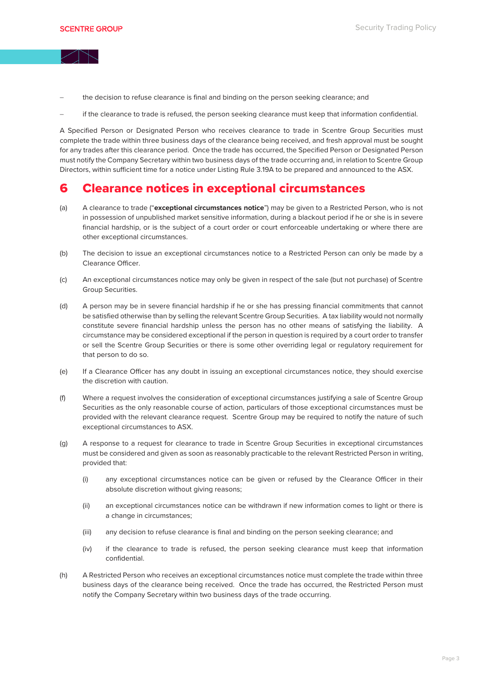

- the decision to refuse clearance is final and binding on the person seeking clearance; and
- − if the clearance to trade is refused, the person seeking clearance must keep that information confidential.

A Specified Person or Designated Person who receives clearance to trade in Scentre Group Securities must complete the trade within three business days of the clearance being received, and fresh approval must be sought for any trades after this clearance period. Once the trade has occurred, the Specified Person or Designated Person must notify the Company Secretary within two business days of the trade occurring and, in relation to Scentre Group Directors, within sufficient time for a notice under Listing Rule 3.19A to be prepared and announced to the ASX.

# 6 Clearance notices in exceptional circumstances

- (a) A clearance to trade ("**exceptional circumstances notice**") may be given to a Restricted Person, who is not in possession of unpublished market sensitive information, during a blackout period if he or she is in severe financial hardship, or is the subject of a court order or court enforceable undertaking or where there are other exceptional circumstances.
- (b) The decision to issue an exceptional circumstances notice to a Restricted Person can only be made by a Clearance Officer.
- (c) An exceptional circumstances notice may only be given in respect of the sale (but not purchase) of Scentre Group Securities.
- (d) A person may be in severe financial hardship if he or she has pressing financial commitments that cannot be satisfied otherwise than by selling the relevant Scentre Group Securities. A tax liability would not normally constitute severe financial hardship unless the person has no other means of satisfying the liability. A circumstance may be considered exceptional if the person in question is required by a court order to transfer or sell the Scentre Group Securities or there is some other overriding legal or regulatory requirement for that person to do so.
- (e) If a Clearance Officer has any doubt in issuing an exceptional circumstances notice, they should exercise the discretion with caution.
- (f) Where a request involves the consideration of exceptional circumstances justifying a sale of Scentre Group Securities as the only reasonable course of action, particulars of those exceptional circumstances must be provided with the relevant clearance request. Scentre Group may be required to notify the nature of such exceptional circumstances to ASX.
- (g) A response to a request for clearance to trade in Scentre Group Securities in exceptional circumstances must be considered and given as soon as reasonably practicable to the relevant Restricted Person in writing, provided that:
	- (i) any exceptional circumstances notice can be given or refused by the Clearance Officer in their absolute discretion without giving reasons;
	- (ii) an exceptional circumstances notice can be withdrawn if new information comes to light or there is a change in circumstances;
	- (iii) any decision to refuse clearance is final and binding on the person seeking clearance; and
	- (iv) if the clearance to trade is refused, the person seeking clearance must keep that information confidential.
- (h) A Restricted Person who receives an exceptional circumstances notice must complete the trade within three business days of the clearance being received. Once the trade has occurred, the Restricted Person must notify the Company Secretary within two business days of the trade occurring.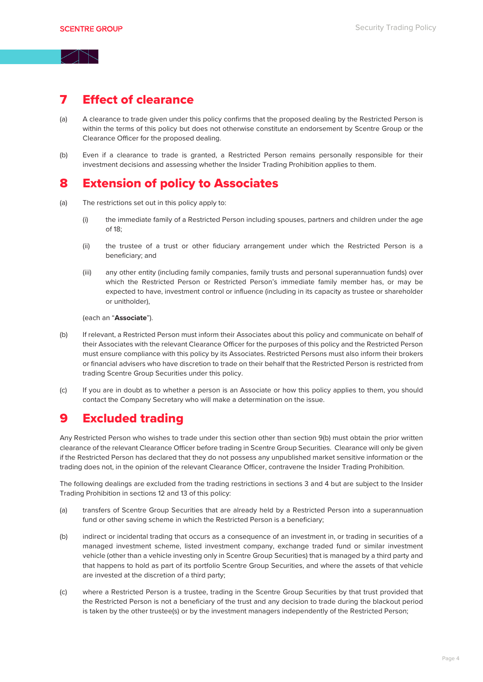### 7 Effect of clearance

- (a) A clearance to trade given under this policy confirms that the proposed dealing by the Restricted Person is within the terms of this policy but does not otherwise constitute an endorsement by Scentre Group or the Clearance Officer for the proposed dealing.
- (b) Even if a clearance to trade is granted, a Restricted Person remains personally responsible for their investment decisions and assessing whether the Insider Trading Prohibition applies to them.

### 8 Extension of policy to Associates

- (a) The restrictions set out in this policy apply to:
	- (i) the immediate family of a Restricted Person including spouses, partners and children under the age of 18;
	- (ii) the trustee of a trust or other fiduciary arrangement under which the Restricted Person is a beneficiary; and
	- (iii) any other entity (including family companies, family trusts and personal superannuation funds) over which the Restricted Person or Restricted Person's immediate family member has, or may be expected to have, investment control or influence (including in its capacity as trustee or shareholder or unitholder),

(each an "**Associate**").

- (b) If relevant, a Restricted Person must inform their Associates about this policy and communicate on behalf of their Associates with the relevant Clearance Officer for the purposes of this policy and the Restricted Person must ensure compliance with this policy by its Associates. Restricted Persons must also inform their brokers or financial advisers who have discretion to trade on their behalf that the Restricted Person is restricted from trading Scentre Group Securities under this policy.
- (c) If you are in doubt as to whether a person is an Associate or how this policy applies to them, you should contact the Company Secretary who will make a determination on the issue.

# 9 Excluded trading

Any Restricted Person who wishes to trade under this section other than section 9(b) must obtain the prior written clearance of the relevant Clearance Officer before trading in Scentre Group Securities. Clearance will only be given if the Restricted Person has declared that they do not possess any unpublished market sensitive information or the trading does not, in the opinion of the relevant Clearance Officer, contravene the Insider Trading Prohibition.

The following dealings are excluded from the trading restrictions in sections 3 and 4 but are subject to the Insider Trading Prohibition in sections 12 and 13 of this policy:

- (a) transfers of Scentre Group Securities that are already held by a Restricted Person into a superannuation fund or other saving scheme in which the Restricted Person is a beneficiary;
- (b) indirect or incidental trading that occurs as a consequence of an investment in, or trading in securities of a managed investment scheme, listed investment company, exchange traded fund or similar investment vehicle (other than a vehicle investing only in Scentre Group Securities) that is managed by a third party and that happens to hold as part of its portfolio Scentre Group Securities, and where the assets of that vehicle are invested at the discretion of a third party;
- (c) where a Restricted Person is a trustee, trading in the Scentre Group Securities by that trust provided that the Restricted Person is not a beneficiary of the trust and any decision to trade during the blackout period is taken by the other trustee(s) or by the investment managers independently of the Restricted Person;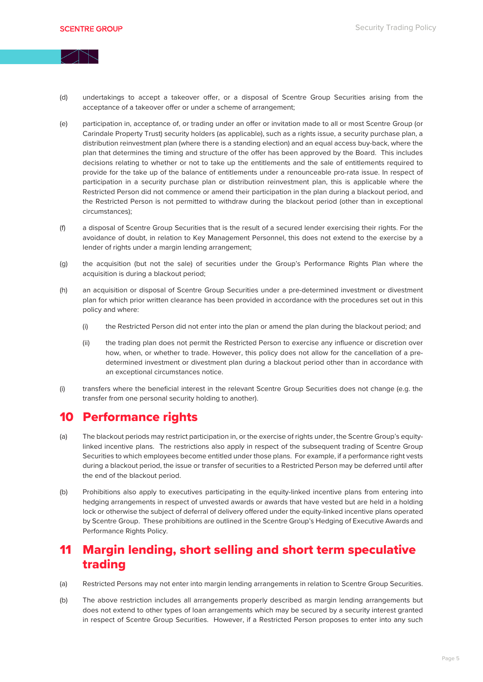

- (d) undertakings to accept a takeover offer, or a disposal of Scentre Group Securities arising from the acceptance of a takeover offer or under a scheme of arrangement;
- (e) participation in, acceptance of, or trading under an offer or invitation made to all or most Scentre Group (or Carindale Property Trust) security holders (as applicable), such as a rights issue, a security purchase plan, a distribution reinvestment plan (where there is a standing election) and an equal access buy-back, where the plan that determines the timing and structure of the offer has been approved by the Board. This includes decisions relating to whether or not to take up the entitlements and the sale of entitlements required to provide for the take up of the balance of entitlements under a renounceable pro-rata issue. In respect of participation in a security purchase plan or distribution reinvestment plan, this is applicable where the Restricted Person did not commence or amend their participation in the plan during a blackout period, and the Restricted Person is not permitted to withdraw during the blackout period (other than in exceptional circumstances);
- (f) a disposal of Scentre Group Securities that is the result of a secured lender exercising their rights. For the avoidance of doubt, in relation to Key Management Personnel, this does not extend to the exercise by a lender of rights under a margin lending arrangement;
- (g) the acquisition (but not the sale) of securities under the Group's Performance Rights Plan where the acquisition is during a blackout period;
- (h) an acquisition or disposal of Scentre Group Securities under a pre-determined investment or divestment plan for which prior written clearance has been provided in accordance with the procedures set out in this policy and where:
	- (i) the Restricted Person did not enter into the plan or amend the plan during the blackout period; and
	- (ii) the trading plan does not permit the Restricted Person to exercise any influence or discretion over how, when, or whether to trade. However, this policy does not allow for the cancellation of a predetermined investment or divestment plan during a blackout period other than in accordance with an exceptional circumstances notice.
- (i) transfers where the beneficial interest in the relevant Scentre Group Securities does not change (e.g. the transfer from one personal security holding to another).

# 10 Performance rights

- (a) The blackout periods may restrict participation in, or the exercise of rights under, the Scentre Group's equitylinked incentive plans. The restrictions also apply in respect of the subsequent trading of Scentre Group Securities to which employees become entitled under those plans. For example, if a performance right vests during a blackout period, the issue or transfer of securities to a Restricted Person may be deferred until after the end of the blackout period.
- (b) Prohibitions also apply to executives participating in the equity-linked incentive plans from entering into hedging arrangements in respect of unvested awards or awards that have vested but are held in a holding lock or otherwise the subject of deferral of delivery offered under the equity-linked incentive plans operated by Scentre Group. These prohibitions are outlined in the Scentre Group's Hedging of Executive Awards and Performance Rights Policy.

# 11 Margin lending, short selling and short term speculative trading

- (a) Restricted Persons may not enter into margin lending arrangements in relation to Scentre Group Securities.
- (b) The above restriction includes all arrangements properly described as margin lending arrangements but does not extend to other types of loan arrangements which may be secured by a security interest granted in respect of Scentre Group Securities. However, if a Restricted Person proposes to enter into any such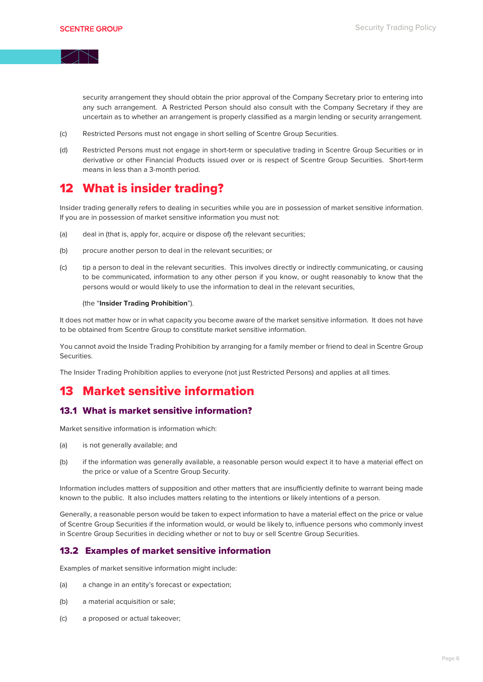

security arrangement they should obtain the prior approval of the Company Secretary prior to entering into any such arrangement. A Restricted Person should also consult with the Company Secretary if they are uncertain as to whether an arrangement is properly classified as a margin lending or security arrangement.

- (c) Restricted Persons must not engage in short selling of Scentre Group Securities.
- (d) Restricted Persons must not engage in short-term or speculative trading in Scentre Group Securities or in derivative or other Financial Products issued over or is respect of Scentre Group Securities. Short-term means in less than a 3-month period.

# 12 What is insider trading?

Insider trading generally refers to dealing in securities while you are in possession of market sensitive information. If you are in possession of market sensitive information you must not:

- (a) deal in (that is, apply for, acquire or dispose of) the relevant securities;
- (b) procure another person to deal in the relevant securities; or
- (c) tip a person to deal in the relevant securities. This involves directly or indirectly communicating, or causing to be communicated, information to any other person if you know, or ought reasonably to know that the persons would or would likely to use the information to deal in the relevant securities,

#### (the "**Insider Trading Prohibition**").

It does not matter how or in what capacity you become aware of the market sensitive information. It does not have to be obtained from Scentre Group to constitute market sensitive information.

You cannot avoid the Inside Trading Prohibition by arranging for a family member or friend to deal in Scentre Group Securities.

The Insider Trading Prohibition applies to everyone (not just Restricted Persons) and applies at all times.

# 13 Market sensitive information

#### 13.1 What is market sensitive information?

Market sensitive information is information which:

- (a) is not generally available; and
- (b) if the information was generally available, a reasonable person would expect it to have a material effect on the price or value of a Scentre Group Security.

Information includes matters of supposition and other matters that are insufficiently definite to warrant being made known to the public. It also includes matters relating to the intentions or likely intentions of a person.

Generally, a reasonable person would be taken to expect information to have a material effect on the price or value of Scentre Group Securities if the information would, or would be likely to, influence persons who commonly invest in Scentre Group Securities in deciding whether or not to buy or sell Scentre Group Securities.

#### 13.2 Examples of market sensitive information

Examples of market sensitive information might include:

- (a) a change in an entity's forecast or expectation;
- (b) a material acquisition or sale;
- (c) a proposed or actual takeover;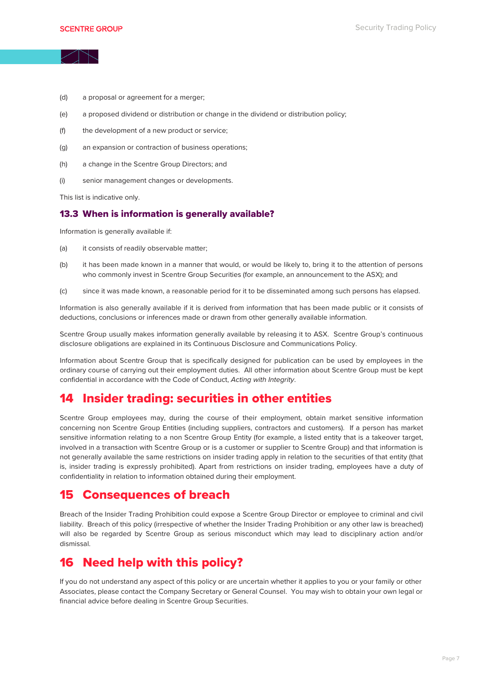

- (d) a proposal or agreement for a merger;
- (e) a proposed dividend or distribution or change in the dividend or distribution policy;
- (f) the development of a new product or service;
- (g) an expansion or contraction of business operations;
- (h) a change in the Scentre Group Directors; and
- (i) senior management changes or developments.

This list is indicative only.

#### 13.3 When is information is generally available?

Information is generally available if:

- (a) it consists of readily observable matter;
- (b) it has been made known in a manner that would, or would be likely to, bring it to the attention of persons who commonly invest in Scentre Group Securities (for example, an announcement to the ASX); and
- (c) since it was made known, a reasonable period for it to be disseminated among such persons has elapsed.

Information is also generally available if it is derived from information that has been made public or it consists of deductions, conclusions or inferences made or drawn from other generally available information.

Scentre Group usually makes information generally available by releasing it to ASX. Scentre Group's continuous disclosure obligations are explained in its Continuous Disclosure and Communications Policy.

Information about Scentre Group that is specifically designed for publication can be used by employees in the ordinary course of carrying out their employment duties. All other information about Scentre Group must be kept confidential in accordance with the Code of Conduct, *Acting with Integrity*.

#### 14 Insider trading: securities in other entities

Scentre Group employees may, during the course of their employment, obtain market sensitive information concerning non Scentre Group Entities (including suppliers, contractors and customers). If a person has market sensitive information relating to a non Scentre Group Entity (for example, a listed entity that is a takeover target, involved in a transaction with Scentre Group or is a customer or supplier to Scentre Group) and that information is not generally available the same restrictions on insider trading apply in relation to the securities of that entity (that is, insider trading is expressly prohibited). Apart from restrictions on insider trading, employees have a duty of confidentiality in relation to information obtained during their employment.

#### 15 Consequences of breach

Breach of the Insider Trading Prohibition could expose a Scentre Group Director or employee to criminal and civil liability. Breach of this policy (irrespective of whether the Insider Trading Prohibition or any other law is breached) will also be regarded by Scentre Group as serious misconduct which may lead to disciplinary action and/or dismissal.

#### 16 Need help with this policy?

If you do not understand any aspect of this policy or are uncertain whether it applies to you or your family or other Associates, please contact the Company Secretary or General Counsel. You may wish to obtain your own legal or financial advice before dealing in Scentre Group Securities.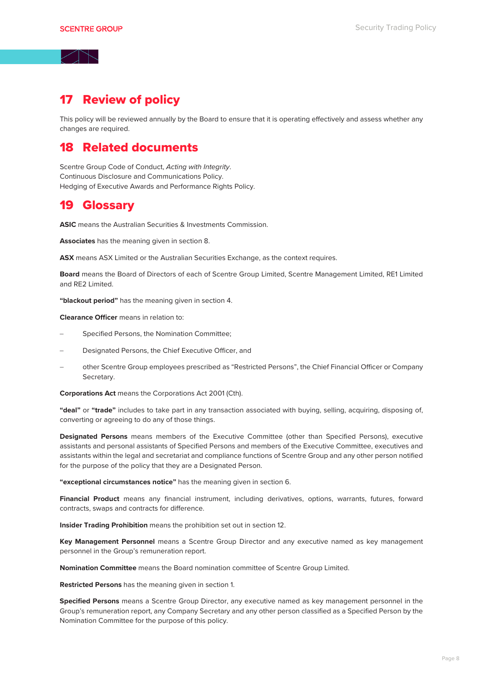# 17 Review of policy

This policy will be reviewed annually by the Board to ensure that it is operating effectively and assess whether any changes are required.

### 18 Related documents

Scentre Group Code of Conduct, *Acting with Integrity*. Continuous Disclosure and Communications Policy. Hedging of Executive Awards and Performance Rights Policy.

#### 19 Glossary

**ASIC** means the Australian Securities & Investments Commission.

**Associates** has the meaning given in section 8.

**ASX** means ASX Limited or the Australian Securities Exchange, as the context requires.

**Board** means the Board of Directors of each of Scentre Group Limited, Scentre Management Limited, RE1 Limited and RE2 Limited.

**"blackout period"** has the meaning given in section 4.

**Clearance Officer** means in relation to:

- − Specified Persons, the Nomination Committee;
- Designated Persons, the Chief Executive Officer, and
- − other Scentre Group employees prescribed as "Restricted Persons", the Chief Financial Officer or Company Secretary.

**Corporations Act** means the Corporations Act 2001 (Cth).

**"deal"** or **"trade"** includes to take part in any transaction associated with buying, selling, acquiring, disposing of, converting or agreeing to do any of those things.

**Designated Persons** means members of the Executive Committee (other than Specified Persons), executive assistants and personal assistants of Specified Persons and members of the Executive Committee, executives and assistants within the legal and secretariat and compliance functions of Scentre Group and any other person notified for the purpose of the policy that they are a Designated Person.

**"exceptional circumstances notice"** has the meaning given in section 6.

**Financial Product** means any financial instrument, including derivatives, options, warrants, futures, forward contracts, swaps and contracts for difference.

**Insider Trading Prohibition** means the prohibition set out in section 12.

**Key Management Personnel** means a Scentre Group Director and any executive named as key management personnel in the Group's remuneration report.

**Nomination Committee** means the Board nomination committee of Scentre Group Limited.

**Restricted Persons** has the meaning given in section 1.

**Specified Persons** means a Scentre Group Director, any executive named as key management personnel in the Group's remuneration report, any Company Secretary and any other person classified as a Specified Person by the Nomination Committee for the purpose of this policy.